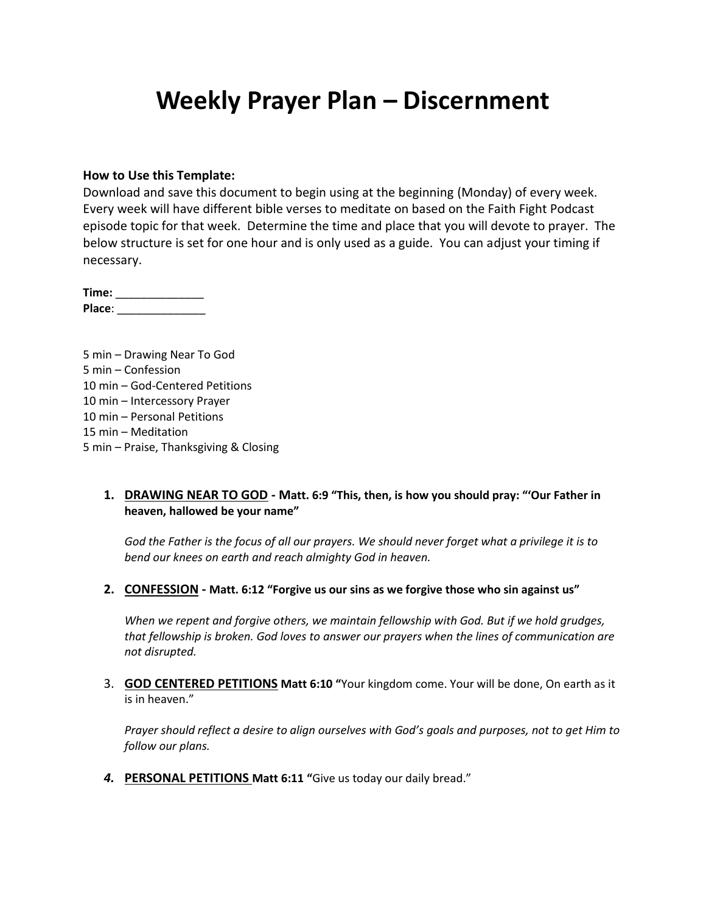# **Weekly Prayer Plan – Discernment**

#### **How to Use this Template:**

Download and save this document to begin using at the beginning (Monday) of every week. Every week will have different bible verses to meditate on based on the Faith Fight Podcast episode topic for that week. Determine the time and place that you will devote to prayer. The below structure is set for one hour and is only used as a guide. You can adjust your timing if necessary.

**Time:** \_\_\_\_\_\_\_\_\_\_\_\_\_\_ **Place**: \_\_\_\_\_\_\_\_\_\_\_\_\_\_

5 min – Drawing Near To God 5 min – Confession 10 min – God-Centered Petitions 10 min – Intercessory Prayer 10 min – Personal Petitions 15 min – Meditation 5 min – Praise, Thanksgiving & Closing

### **1. DRAWING NEAR TO GOD - Matt. 6:9 "This, then, is how you should pray: "'Our Father in heaven, hallowed be your name"**

*God the Father is the focus of all our prayers. We should never forget what a privilege it is to bend our knees on earth and reach almighty God in heaven.*

**2. CONFESSION - Matt. 6:12 "Forgive us our sins as we forgive those who sin against us"**

*When we repent and forgive others, we maintain fellowship with God. But if we hold grudges, that fellowship is broken. God loves to answer our prayers when the lines of communication are not disrupted.*

3. **GOD CENTERED PETITIONS Matt 6:10 "**Your kingdom come. Your will be done, On earth as it is in heaven."

*Prayer should reflect a desire to align ourselves with God's goals and purposes, not to get Him to follow our plans.*

*4.* **PERSONAL PETITIONS Matt 6:11 "**Give us today our daily bread."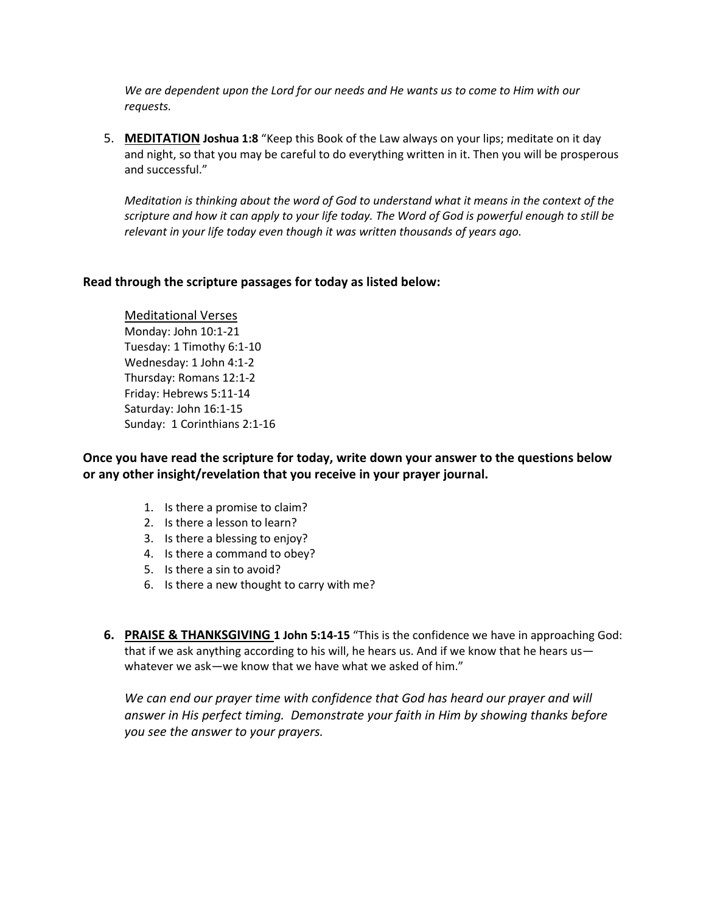*We are dependent upon the Lord for our needs and He wants us to come to Him with our requests.*

5. **MEDITATION Joshua 1:8** "Keep this Book of the Law always on your lips; meditate on it day and night, so that you may be careful to do everything written in it. Then you will be prosperous and successful."

*Meditation is thinking about the word of God to understand what it means in the context of the scripture and how it can apply to your life today. The Word of God is powerful enough to still be relevant in your life today even though it was written thousands of years ago.*

### **Read through the scripture passages for today as listed below:**

Meditational Verses Monday: John 10:1-21 Tuesday: 1 Timothy 6:1-10 Wednesday: 1 John 4:1-2 Thursday: Romans 12:1-2 Friday: Hebrews 5:11-14 Saturday: John 16:1-15 Sunday: 1 Corinthians 2:1-16

**Once you have read the scripture for today, write down your answer to the questions below or any other insight/revelation that you receive in your prayer journal.** 

- 1. Is there a promise to claim?
- 2. Is there a lesson to learn?
- 3. Is there a blessing to enjoy?
- 4. Is there a command to obey?
- 5. Is there a sin to avoid?
- 6. Is there a new thought to carry with me?
- **6. PRAISE & THANKSGIVING 1 John 5:14-15** "This is the confidence we have in approaching God: that if we ask anything according to his will, he hears us. And if we know that he hears us whatever we ask—we know that we have what we asked of him."

We can end our prayer time with confidence that God has heard our prayer and will *answer in His perfect timing. Demonstrate your faith in Him by showing thanks before you see the answer to your prayers.*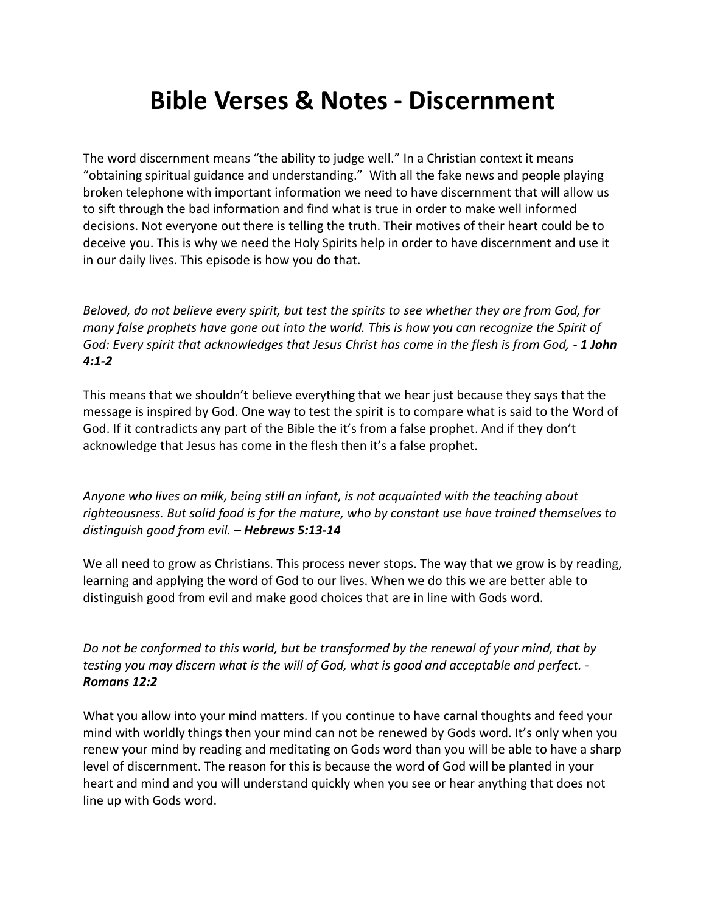# **Bible Verses & Notes - Discernment**

The word discernment means "the ability to judge well." In a Christian context it means "obtaining spiritual guidance and understanding." With all the fake news and people playing broken telephone with important information we need to have discernment that will allow us to sift through the bad information and find what is true in order to make well informed decisions. Not everyone out there is telling the truth. Their motives of their heart could be to deceive you. This is why we need the Holy Spirits help in order to have discernment and use it in our daily lives. This episode is how you do that.

*Beloved, do not believe every spirit, but test the spirits to see whether they are from God, for many false prophets have gone out into the world. This is how you can recognize the Spirit of God: Every spirit that acknowledges that Jesus Christ has come in the flesh is from God, - 1 John 4:1-2*

This means that we shouldn't believe everything that we hear just because they says that the message is inspired by God. One way to test the spirit is to compare what is said to the Word of God. If it contradicts any part of the Bible the it's from a false prophet. And if they don't acknowledge that Jesus has come in the flesh then it's a false prophet.

*Anyone who lives on milk, being still an infant, is not acquainted with the teaching about righteousness. But solid food is for the mature, who by constant use have trained themselves to distinguish good from evil. – Hebrews 5:13-14*

We all need to grow as Christians. This process never stops. The way that we grow is by reading, learning and applying the word of God to our lives. When we do this we are better able to distinguish good from evil and make good choices that are in line with Gods word.

*Do not be conformed to this world, but be transformed by the renewal of your mind, that by testing you may discern what is the will of God, what is good and acceptable and perfect. - Romans 12:2*

What you allow into your mind matters. If you continue to have carnal thoughts and feed your mind with worldly things then your mind can not be renewed by Gods word. It's only when you renew your mind by reading and meditating on Gods word than you will be able to have a sharp level of discernment. The reason for this is because the word of God will be planted in your heart and mind and you will understand quickly when you see or hear anything that does not line up with Gods word.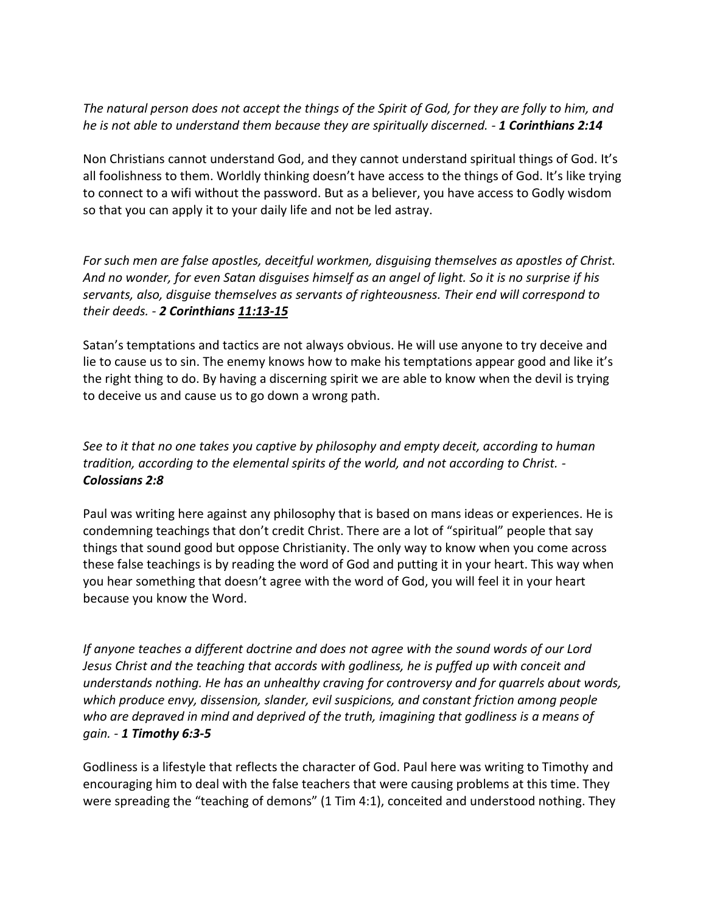*The natural person does not accept the things of the Spirit of God, for they are folly to him, and he is not able to understand them because they are spiritually discerned. - 1 Corinthians 2:14*

Non Christians cannot understand God, and they cannot understand spiritual things of God. It's all foolishness to them. Worldly thinking doesn't have access to the things of God. It's like trying to connect to a wifi without the password. But as a believer, you have access to Godly wisdom so that you can apply it to your daily life and not be led astray.

*For such men are false apostles, deceitful workmen, disguising themselves as apostles of Christ. And no wonder, for even Satan disguises himself as an angel of light. So it is no surprise if his servants, also, disguise themselves as servants of righteousness. Their end will correspond to their deeds. - 2 Corinthians 11:13-15*

Satan's temptations and tactics are not always obvious. He will use anyone to try deceive and lie to cause us to sin. The enemy knows how to make his temptations appear good and like it's the right thing to do. By having a discerning spirit we are able to know when the devil is trying to deceive us and cause us to go down a wrong path.

*See to it that no one takes you captive by philosophy and empty deceit, according to human tradition, according to the elemental spirits of the world, and not according to Christ. - Colossians 2:8*

Paul was writing here against any philosophy that is based on mans ideas or experiences. He is condemning teachings that don't credit Christ. There are a lot of "spiritual" people that say things that sound good but oppose Christianity. The only way to know when you come across these false teachings is by reading the word of God and putting it in your heart. This way when you hear something that doesn't agree with the word of God, you will feel it in your heart because you know the Word.

*If anyone teaches a different doctrine and does not agree with the sound words of our Lord Jesus Christ and the teaching that accords with godliness, he is puffed up with conceit and understands nothing. He has an unhealthy craving for controversy and for quarrels about words, which produce envy, dissension, slander, evil suspicions, and constant friction among people who are depraved in mind and deprived of the truth, imagining that godliness is a means of gain. - 1 Timothy 6:3-5*

Godliness is a lifestyle that reflects the character of God. Paul here was writing to Timothy and encouraging him to deal with the false teachers that were causing problems at this time. They were spreading the "teaching of demons" (1 Tim 4:1), conceited and understood nothing. They